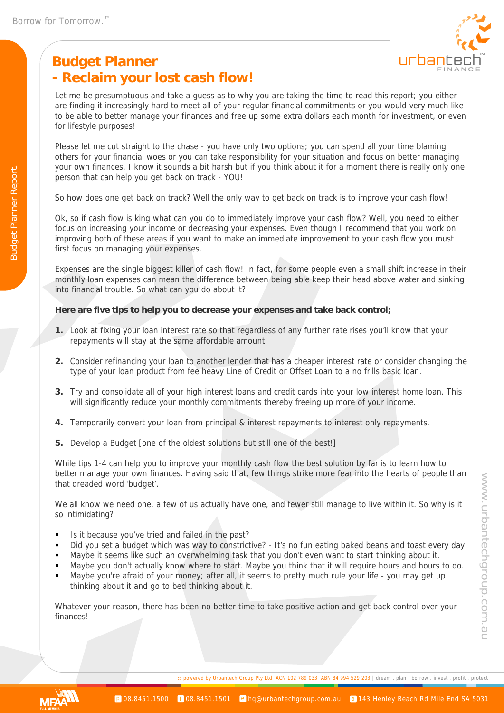# **Budget Planner - Reclaim your lost cash flow!**



Let me be presumptuous and take a guess as to why you are taking the time to read this report; you either are finding it increasingly hard to meet all of your regular financial commitments or you would very much like to be able to better manage your finances and free up some extra dollars each month for investment, or even for lifestyle purposes!

Please let me cut straight to the chase - you have only two options; you can spend all your time blaming others for your financial woes or you can take responsibility for your situation and focus on better managing your own finances. I know it sounds a bit harsh but if you think about it for a moment there is really only one person that can help you get back on track - YOU!

So how does one get back on track? Well the only way to get back on track is to improve your cash flow!

Ok, so if cash flow is king what can you do to immediately improve your cash flow? Well, you need to either focus on increasing your income or decreasing your expenses. Even though I recommend that you work on improving both of these areas if you want to make an immediate improvement to your cash flow you must first focus on managing your expenses.

Expenses are the single biggest killer of cash flow! In fact, for some people even a small shift increase in their monthly loan expenses can mean the difference between being able keep their head above water and sinking into financial trouble. So what can you do about it?

#### **Here are five tips to help you to decrease your expenses and take back control;**

- **1.** Look at fixing your loan interest rate so that regardless of any further rate rises you'll know that your repayments will stay at the same affordable amount.
- **2.** Consider refinancing your loan to another lender that has a cheaper interest rate or consider changing the type of your loan product from fee heavy Line of Credit or Offset Loan to a no frills basic loan.
- **3.** Try and consolidate all of your high interest loans and credit cards into your low interest home loan. This will significantly reduce your monthly commitments thereby freeing up more of your income.
- **4.** Temporarily convert your loan from principal & interest repayments to interest only repayments.
- **5.** Develop a Budget [one of the oldest solutions but still one of the best!]

While tips 1-4 can help you to improve your monthly cash flow the best solution by far is to learn how to better manage your own finances. Having said that, few things strike more fear into the hearts of people than that dreaded word 'budget'.

We all know we need one, a few of us actually have one, and fewer still manage to live within it. So why is it so intimidating?

- Is it because you've tried and failed in the past?
- Did you set a budget which was way to constrictive? It's no fun eating baked beans and toast every day!
- Maybe it seems like such an overwhelming task that you don't even want to start thinking about it.
- Maybe you don't actually know where to start. Maybe you think that it will require hours and hours to do.
- Maybe you're afraid of your money; after all, it seems to pretty much rule your life you may get up thinking about it and go to bed thinking about it.

Whatever your reason, there has been no better time to take positive action and get back control over your finances!



**::** powered by Urbantech Group Pty Ltd ACN 102 789 033 ABN 84 994 529 203 | dream . plan . borrow . invest . profit . protect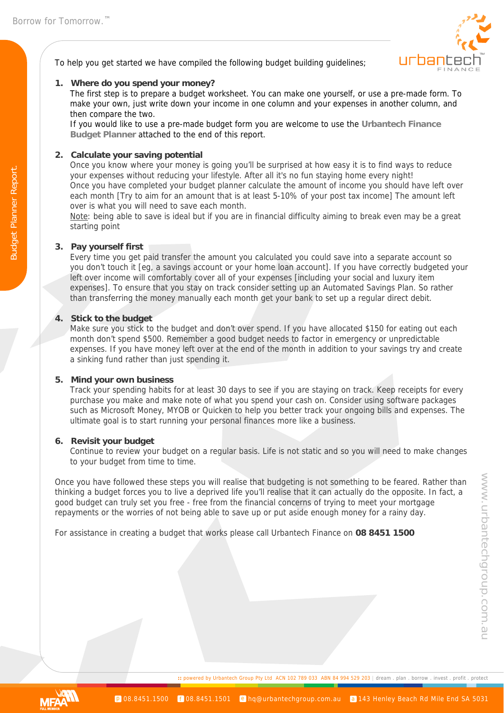Budget Planner Report.

**Budget Planner Report** 



To help you get started we have compiled the following budget building guidelines;

## **1. Where do you spend your money?**

The first step is to prepare a budget worksheet. You can make one yourself, or use a pre-made form. To make your own, just write down your income in one column and your expenses in another column, and then compare the two.

If you would like to use a pre-made budget form you are welcome to use the **Urbantech Finance Budget Planner** attached to the end of this report.

## **2. Calculate your saving potential**

Once you know where your money is going you'll be surprised at how easy it is to find ways to reduce your expenses without reducing your lifestyle. After all it's no fun staying home every night! Once you have completed your budget planner calculate the amount of income you should have left over each month [Try to aim for an amount that is at least 5-10% of your post tax income] The amount left over is what you will need to save each month.

Note: being able to save is ideal but if you are in financial difficulty aiming to break even may be a great starting point

## **3. Pay yourself first**

Every time you get paid transfer the amount you calculated you could save into a separate account so you don't touch it [eg, a savings account or your home loan account]. If you have correctly budgeted your left over income will comfortably cover all of your expenses [including your social and luxury item expenses]. To ensure that you stay on track consider setting up an Automated Savings Plan. So rather than transferring the money manually each month get your bank to set up a regular direct debit.

## **4. Stick to the budget**

Make sure you stick to the budget and don't over spend. If you have allocated \$150 for eating out each month don't spend \$500. Remember a good budget needs to factor in emergency or unpredictable expenses. If you have money left over at the end of the month in addition to your savings try and create a sinking fund rather than just spending it.

## **5. Mind your own business**

Track your spending habits for at least 30 days to see if you are staying on track. Keep receipts for every purchase you make and make note of what you spend your cash on. Consider using software packages such as Microsoft Money, MYOB or Quicken to help you better track your ongoing bills and expenses. The ultimate goal is to start running your personal finances more like a business.

## **6. Revisit your budget**

Continue to review your budget on a regular basis. Life is not static and so you will need to make changes to your budget from time to time.

Once you have followed these steps you will realise that budgeting is not something to be feared. Rather than thinking a budget forces you to live a deprived life you'll realise that it can actually do the opposite. In fact, a good budget can truly set you free - free from the financial concerns of trying to meet your mortgage repayments or the worries of not being able to save up or put aside enough money for a rainy day.

For assistance in creating a budget that works please call Urbantech Finance on **08 8451 1500**